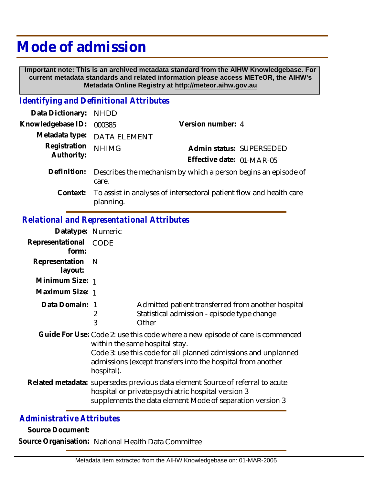## **Mode of admission**

 **Important note: This is an archived metadata standard from the AIHW Knowledgebase. For current metadata standards and related information please access METeOR, the AIHW's Metadata Online Registry at http://meteor.aihw.gov.au**

## *Identifying and Definitional Attributes*

| Data Dictionary: NHDD      |                                                                         |                                                                              |  |
|----------------------------|-------------------------------------------------------------------------|------------------------------------------------------------------------------|--|
| Knowledgebase ID:          | 000385                                                                  | Version number: 4                                                            |  |
|                            | Metadata type: DATA ELEMENT                                             |                                                                              |  |
| Registration<br>Authority: | <b>NHIMG</b>                                                            | Admin status: SUPERSEDED                                                     |  |
|                            |                                                                         | Effective date: 01-MAR-05                                                    |  |
| Definition:                | Describes the mechanism by which a person begins an episode of<br>care. |                                                                              |  |
|                            | planning.                                                               | Context: To assist in analyses of intersectoral patient flow and health care |  |

## *Relational and Representational Attributes*

| Datatype: Numeric                                                                                                                                                                                                                                              |                                                                                                                                                                                                   |  |
|----------------------------------------------------------------------------------------------------------------------------------------------------------------------------------------------------------------------------------------------------------------|---------------------------------------------------------------------------------------------------------------------------------------------------------------------------------------------------|--|
| Representational<br>CODE                                                                                                                                                                                                                                       |                                                                                                                                                                                                   |  |
| - N                                                                                                                                                                                                                                                            |                                                                                                                                                                                                   |  |
| Minimum Size: 1                                                                                                                                                                                                                                                |                                                                                                                                                                                                   |  |
| Maximum Size: 1                                                                                                                                                                                                                                                |                                                                                                                                                                                                   |  |
| Data Domain: 1<br>2<br>3                                                                                                                                                                                                                                       | Admitted patient transferred from another hospital<br>Statistical admission - episode type change<br>Other                                                                                        |  |
| Guide For Use: Code 2: use this code where a new episode of care is commenced<br>within the same hospital stay.<br>Code 3: use this code for all planned admissions and unplanned<br>admissions (except transfers into the hospital from another<br>hospital). |                                                                                                                                                                                                   |  |
|                                                                                                                                                                                                                                                                | Related metadata: supersedes previous data element Source of referral to acute<br>hospital or private psychiatric hospital version 3<br>supplements the data element Mode of separation version 3 |  |
|                                                                                                                                                                                                                                                                |                                                                                                                                                                                                   |  |

## *Administrative Attributes*

**Source Document:**

**Source Organisation:** National Health Data Committee